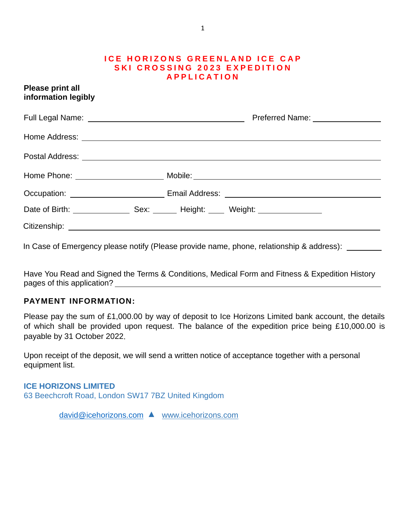#### **ICE HORIZONS GREENLAND ICE CAP S K I C R O S S I N G 2 0 2 3 E X P E D I T I O N A P P L I C A T I O N**

| <b>Please print all</b><br>information legibly |                                                                                   |
|------------------------------------------------|-----------------------------------------------------------------------------------|
|                                                |                                                                                   |
|                                                |                                                                                   |
|                                                |                                                                                   |
|                                                |                                                                                   |
|                                                | Occupation: _______________________________Email Address: _______________________ |
|                                                | Date of Birth: Sex: Sex: Height: Weight: Weight:                                  |
|                                                |                                                                                   |

In Case of Emergency please notify (Please provide name, phone, relationship & address):

Have You Read and Signed the Terms & Conditions, Medical Form and Fitness & Expedition History pages of this application?

#### **PAYMENT INFORMATION:**

Please pay the sum of £1,000.00 by way of deposit to Ice Horizons Limited bank account, the details of which shall be provided upon request. The balance of the expedition price being £10,000.00 is payable by 31 October 2022.

Upon receipt of the deposit, we will send a written notice of acceptance together with a personal equipment list.

**ICE HORIZONS LIMITED** 63 Beechcroft Road, London SW17 7BZ United Kingdom

[david@icehorizons.com](mailto:david@icehorizons.com) ▲ [www.icehorizons.com](http://www.icehorizons.com/)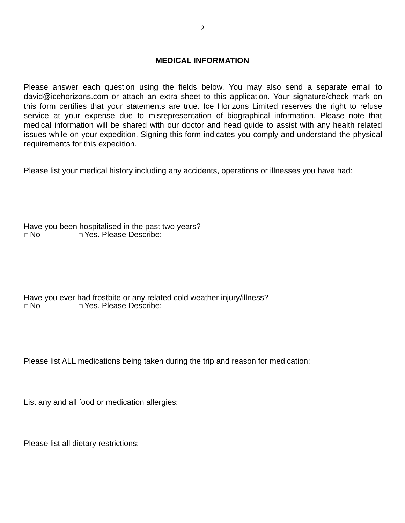#### **MEDICAL INFORMATION**

Please answer each question using the fields below. You may also send a separate email to [david@icehorizons.com](mailto:david@icehorizons.com) or attach an extra sheet to this application. Your signature/check mark on this form certifies that your statements are true. Ice Horizons Limited reserves the right to refuse service at your expense due to misrepresentation of biographical information. Please note that medical information will be shared with our doctor and head guide to assist with any health related issues while on your expedition. Signing this form indicates you comply and understand the physical requirements for this expedition.

Please list your medical history including any accidents, operations or illnesses you have had:

Have you been hospitalised in the past two years? □ No □ □ Yes. Please Describe:

Have you ever had frostbite or any related cold weather injury/illness? □ No □ Yes. Please Describe:

Please list ALL medications being taken during the trip and reason for medication:

List any and all food or medication allergies:

Please list all dietary restrictions: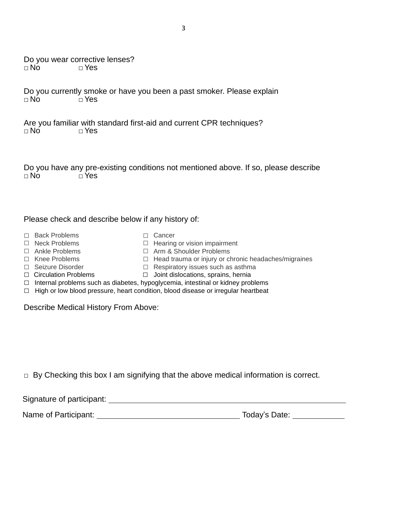| $\Box$ No                                                                                                                                                         | Do you wear corrective lenses?<br>$\Box$ Yes                                                                                                                                                                                                                                                                                                                                                                                               |  |
|-------------------------------------------------------------------------------------------------------------------------------------------------------------------|--------------------------------------------------------------------------------------------------------------------------------------------------------------------------------------------------------------------------------------------------------------------------------------------------------------------------------------------------------------------------------------------------------------------------------------------|--|
| $\Box$ No                                                                                                                                                         | Do you currently smoke or have you been a past smoker. Please explain<br>$\sqcap$ Yes                                                                                                                                                                                                                                                                                                                                                      |  |
| Are you familiar with standard first-aid and current CPR techniques?<br>$\Box$ No<br>$\sqcap$ Yes                                                                 |                                                                                                                                                                                                                                                                                                                                                                                                                                            |  |
| Do you have any pre-existing conditions not mentioned above. If so, please describe<br>$\Box$ No<br>$\sqcap$ Yes                                                  |                                                                                                                                                                                                                                                                                                                                                                                                                                            |  |
| Please check and describe below if any history of:                                                                                                                |                                                                                                                                                                                                                                                                                                                                                                                                                                            |  |
| $\Box$ Back Problems<br>$\Box$ Neck Problems<br>□ Ankle Problems<br>$\Box$ Knee Problems<br>□ Seizure Disorder<br>$\Box$ Circulation Problems<br>$\Box$<br>$\Box$ | $\Box$ Cancer<br>$\Box$ Hearing or vision impairment<br>□ Arm & Shoulder Problems<br>Head trauma or injury or chronic headaches/migraines<br>Respiratory issues such as asthma<br>Joint dislocations, sprains, hernia<br>□<br>Internal problems such as diabetes, hypoglycemia, intestinal or kidney problems<br>High or low blood pressure, heart condition, blood disease or irregular heartbeat<br>Describe Medical History From Above: |  |

3

□ By Checking this box I am signifying that the above medical information is correct.

Signature of participant:

Name of Participant: Today's Date: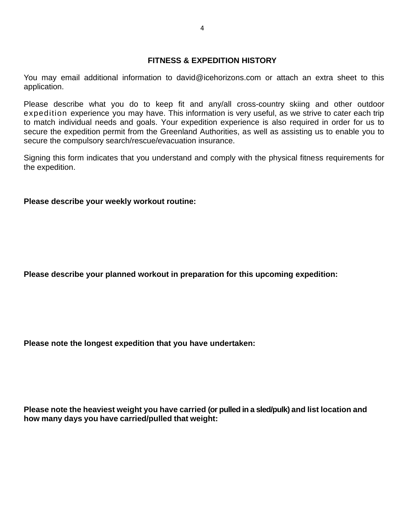#### **FITNESS & EXPEDITION HISTORY**

[You](mailto:climb@alpineascents.com) may email additional information to david@icehorizons.com or attach an extra sheet to this application.

Please describe what you do to keep fit and any/all cross-country skiing and other outdoor expedition experience you may have. This information is very useful, as we strive to cater each trip to match individual needs and goals. Your expedition experience is also required in order for us to secure the expedition permit from the Greenland Authorities, as well as assisting us to enable you to secure the compulsory search/rescue/evacuation insurance.

Signing this form indicates that you understand and comply with the physical fitness requirements for the expedition.

#### **Please describe your weekly workout routine:**

**Please describe your planned workout in preparation for this upcoming expedition:**

**Please note the longest expedition that you have undertaken:**

**Please note the heaviest weight you have carried (or pulled in a sled/pulk) and list location and how many days you have carried/pulled that weight:**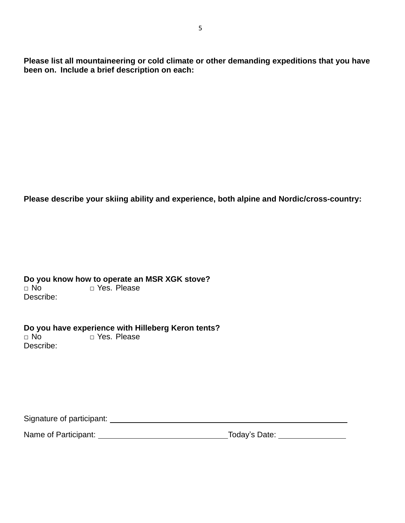**Please list all mountaineering or cold climate or other demanding expeditions that you have been on. Include a brief description on each:**

5

**Please describe your skiing ability and experience, both alpine and Nordic/cross-country:**

**Do you know how to operate an MSR XGK stove?**<br>□ No<br>□ Yes. Please □ Yes. Please Describe:

**Do you have experience with Hilleberg Keron tents?**<br>□ No<br>□ Yes. Please □ Yes. Please Describe:

Signature of participant:

Name of Participant: Today's Date: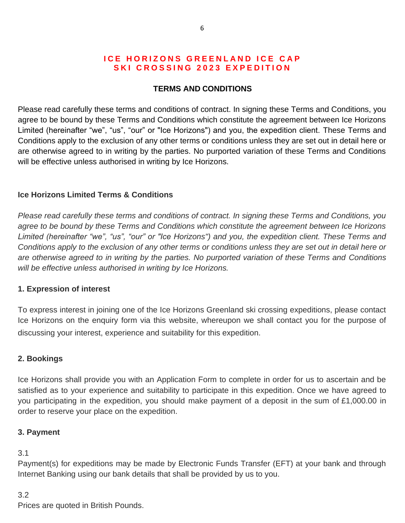## **ICE HORIZONS GREENLAND ICE CAP SKI CROSSING 2023 EXPEDITION**

### **TERMS AND CONDITIONS**

Please read carefully these terms and conditions of contract. In signing these Terms and Conditions, you agree to be bound by these Terms and Conditions which constitute the agreement between Ice Horizons Limited (hereinafter "we", "us", "our" or "Ice Horizons") and you, the expedition client. These Terms and Conditions apply to the exclusion of any other terms or conditions unless they are set out in detail here or are otherwise agreed to in writing by the parties. No purported variation of these Terms and Conditions will be effective unless authorised in writing by Ice Horizons.

### **Ice Horizons Limited Terms & Conditions**

*Please read carefully these terms and conditions of contract. In signing these Terms and Conditions, you agree to be bound by these Terms and Conditions which constitute the agreement between Ice Horizons Limited (hereinafter "we", "us", "our" or "Ice Horizons") and you, the expedition client. These Terms and Conditions apply to the exclusion of any other terms or conditions unless they are set out in detail here or are otherwise agreed to in writing by the parties. No purported variation of these Terms and Conditions will be effective unless authorised in writing by Ice Horizons.*

#### **1. Expression of interest**

To express interest in joining one of the Ice Horizons Greenland ski crossing expeditions, please contact Ice Horizons on the enquiry form via this website, whereupon we shall contact you for the purpose of discussing your interest, experience and suitability for this expedition.

#### **2. Bookings**

Ice Horizons shall provide you with an Application Form to complete in order for us to ascertain and be satisfied as to your experience and suitability to participate in this expedition. Once we have agreed to you participating in the expedition, you should make payment of a deposit in the sum of £1,000.00 in order to reserve your place on the expedition.

#### **3. Payment**

#### 3.1

Payment(s) for expeditions may be made by Electronic Funds Transfer (EFT) at your bank and through Internet Banking using our bank details that shall be provided by us to you.

#### 3.2

Prices are quoted in British Pounds.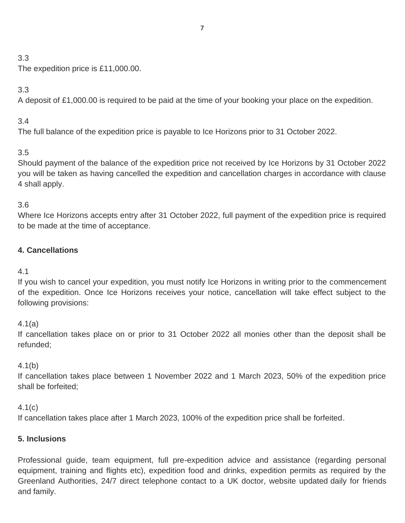# 3.3

The expedition price is £11,000.00.

# 3.3

A deposit of £1,000.00 is required to be paid at the time of your booking your place on the expedition.

# 3.4

The full balance of the expedition price is payable to Ice Horizons prior to 31 October 2022.

# 3.5

Should payment of the balance of the expedition price not received by Ice Horizons by 31 October 2022 you will be taken as having cancelled the expedition and cancellation charges in accordance with clause 4 shall apply.

# 3.6

Where Ice Horizons accepts entry after 31 October 2022, full payment of the expedition price is required to be made at the time of acceptance.

# **4. Cancellations**

# 4.1

If you wish to cancel your expedition, you must notify Ice Horizons in writing prior to the commencement of the expedition. Once Ice Horizons receives your notice, cancellation will take effect subject to the following provisions:

4.1(a)

If cancellation takes place on or prior to 31 October 2022 all monies other than the deposit shall be refunded;

# 4.1(b)

If cancellation takes place between 1 November 2022 and 1 March 2023, 50% of the expedition price shall be forfeited;

# 4.1(c)

If cancellation takes place after 1 March 2023, 100% of the expedition price shall be forfeited.

# **5. Inclusions**

Professional guide, team equipment, full pre-expedition advice and assistance (regarding personal equipment, training and flights etc), expedition food and drinks, expedition permits as required by the Greenland Authorities, 24/7 direct telephone contact to a UK doctor, website updated daily for friends and family.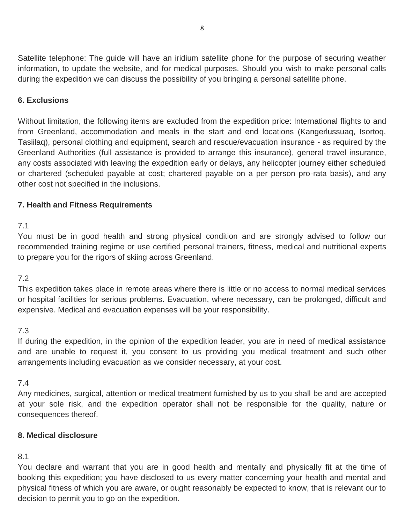Satellite telephone: The guide will have an iridium satellite phone for the purpose of securing weather information, to update the website, and for medical purposes. Should you wish to make personal calls during the expedition we can discuss the possibility of you bringing a personal satellite phone.

### **6. Exclusions**

Without limitation, the following items are excluded from the expedition price: International flights to and from Greenland, accommodation and meals in the start and end locations (Kangerlussuaq, Isortoq, Tasiilaq), personal clothing and equipment, search and rescue/evacuation insurance - as required by the Greenland Authorities (full assistance is provided to arrange this insurance), general travel insurance, any costs associated with leaving the expedition early or delays, any helicopter journey either scheduled or chartered (scheduled payable at cost; chartered payable on a per person pro-rata basis), and any other cost not specified in the inclusions.

### **7. Health and Fitness Requirements**

#### 7.1

You must be in good health and strong physical condition and are strongly advised to follow our recommended training regime or use certified personal trainers, fitness, medical and nutritional experts to prepare you for the rigors of skiing across Greenland.

#### 7.2

This expedition takes place in remote areas where there is little or no access to normal medical services or hospital facilities for serious problems. Evacuation, where necessary, can be prolonged, difficult and expensive. Medical and evacuation expenses will be your responsibility.

#### 7.3

If during the expedition, in the opinion of the expedition leader, you are in need of medical assistance and are unable to request it, you consent to us providing you medical treatment and such other arrangements including evacuation as we consider necessary, at your cost.

#### 7.4

Any medicines, surgical, attention or medical treatment furnished by us to you shall be and are accepted at your sole risk, and the expedition operator shall not be responsible for the quality, nature or consequences thereof.

#### **8. Medical disclosure**

# 8.1

You declare and warrant that you are in good health and mentally and physically fit at the time of booking this expedition; you have disclosed to us every matter concerning your health and mental and physical fitness of which you are aware, or ought reasonably be expected to know, that is relevant our to decision to permit you to go on the expedition.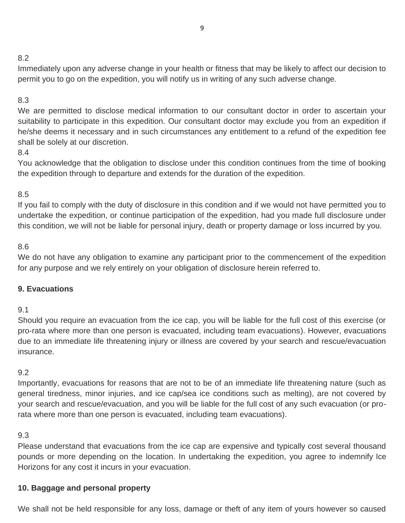# 8.2

Immediately upon any adverse change in your health or fitness that may be likely to affect our decision to permit you to go on the expedition, you will notify us in writing of any such adverse change.

# 8.3

We are permitted to disclose medical information to our consultant doctor in order to ascertain your suitability to participate in this expedition. Our consultant doctor may exclude you from an expedition if he/she deems it necessary and in such circumstances any entitlement to a refund of the expedition fee shall be solely at our discretion.

# 8.4

You acknowledge that the obligation to disclose under this condition continues from the time of booking the expedition through to departure and extends for the duration of the expedition.

# 8.5

If you fail to comply with the duty of disclosure in this condition and if we would not have permitted you to undertake the expedition, or continue participation of the expedition, had you made full disclosure under this condition, we will not be liable for personal injury, death or property damage or loss incurred by you.

# 8.6

We do not have any obligation to examine any participant prior to the commencement of the expedition for any purpose and we rely entirely on your obligation of disclosure herein referred to.

# **9. Evacuations**

# 9.1

Should you require an evacuation from the ice cap, you will be liable for the full cost of this exercise (or pro-rata where more than one person is evacuated, including team evacuations). However, evacuations due to an immediate life threatening injury or illness are covered by your search and rescue/evacuation insurance.

# 9.2

Importantly, evacuations for reasons that are not to be of an immediate life threatening nature (such as general tiredness, minor injuries, and ice cap/sea ice conditions such as melting), are not covered by your search and rescue/evacuation, and you will be liable for the full cost of any such evacuation (or prorata where more than one person is evacuated, including team evacuations).

## 9.3

Please understand that evacuations from the ice cap are expensive and typically cost several thousand pounds or more depending on the location. In undertaking the expedition, you agree to indemnify Ice Horizons for any cost it incurs in your evacuation.

# **10. Baggage and personal property**

We shall not be held responsible for any loss, damage or theft of any item of yours however so caused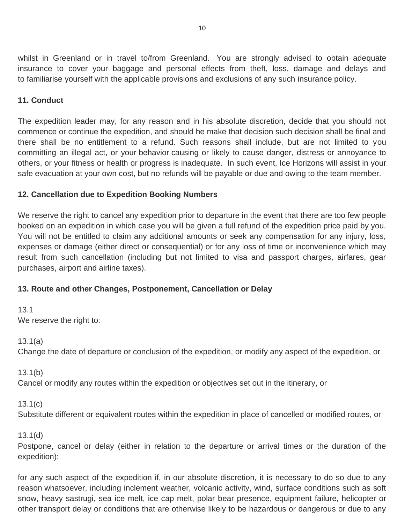whilst in Greenland or in travel to/from Greenland. You are strongly advised to obtain adequate insurance to cover your baggage and personal effects from theft, loss, damage and delays and to familiarise yourself with the applicable provisions and exclusions of any such insurance policy.

### **11. Conduct**

The expedition leader may, for any reason and in his absolute discretion, decide that you should not commence or continue the expedition, and should he make that decision such decision shall be final and there shall be no entitlement to a refund. Such reasons shall include, but are not limited to you committing an illegal act, or your behavior causing or likely to cause danger, distress or annoyance to others, or your fitness or health or progress is inadequate. In such event, Ice Horizons will assist in your safe evacuation at your own cost, but no refunds will be payable or due and owing to the team member.

### **12. Cancellation due to Expedition Booking Numbers**

We reserve the right to cancel any expedition prior to departure in the event that there are too few people booked on an expedition in which case you will be given a full refund of the expedition price paid by you. You will not be entitled to claim any additional amounts or seek any compensation for any injury, loss, expenses or damage (either direct or consequential) or for any loss of time or inconvenience which may result from such cancellation (including but not limited to visa and passport charges, airfares, gear purchases, airport and airline taxes).

## **13. Route and other Changes, Postponement, Cancellation or Delay**

13.1 We reserve the right to:

13.1(a)

Change the date of departure or conclusion of the expedition, or modify any aspect of the expedition, or

13.1(b)

Cancel or modify any routes within the expedition or objectives set out in the itinerary, or

13.1(c)

Substitute different or equivalent routes within the expedition in place of cancelled or modified routes, or

#### 13.1(d)

Postpone, cancel or delay (either in relation to the departure or arrival times or the duration of the expedition):

for any such aspect of the expedition if, in our absolute discretion, it is necessary to do so due to any reason whatsoever, including inclement weather, volcanic activity, wind, surface conditions such as soft snow, heavy sastrugi, sea ice melt, ice cap melt, polar bear presence, equipment failure, helicopter or other transport delay or conditions that are otherwise likely to be hazardous or dangerous or due to any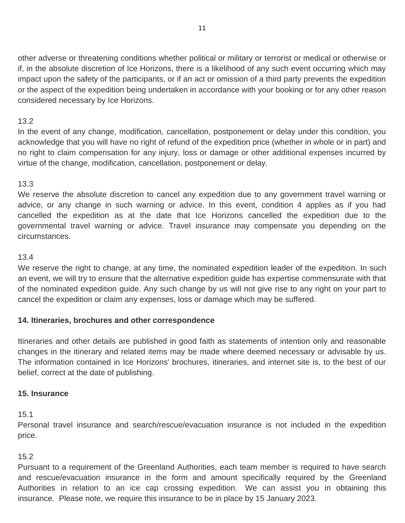other adverse or threatening conditions whether political or military or terrorist or medical or otherwise or if, in the absolute discretion of Ice Horizons, there is a likelihood of any such event occurring which may impact upon the safety of the participants, or if an act or omission of a third party prevents the expedition or the aspect of the expedition being undertaken in accordance with your booking or for any other reason considered necessary by Ice Horizons.

## 13.2

In the event of any change, modification, cancellation, postponement or delay under this condition, you acknowledge that you will have no right of refund of the expedition price (whether in whole or in part) and no right to claim compensation for any injury, loss or damage or other additional expenses incurred by virtue of the change, modification, cancellation, postponement or delay.

## 13.3

We reserve the absolute discretion to cancel any expedition due to any government travel warning or advice, or any change in such warning or advice. In this event, condition 4 applies as if you had cancelled the expedition as at the date that Ice Horizons cancelled the expedition due to the governmental travel warning or advice. Travel insurance may compensate you depending on the circumstances.

# 13.4

We reserve the right to change, at any time, the nominated expedition leader of the expedition. In such an event, we will try to ensure that the alternative expedition guide has expertise commensurate with that of the nominated expedition guide. Any such change by us will not give rise to any right on your part to cancel the expedition or claim any expenses, loss or damage which may be suffered.

# **14. Itineraries, brochures and other correspondence**

Itineraries and other details are published in good faith as statements of intention only and reasonable changes in the itinerary and related items may be made where deemed necessary or advisable by us. The information contained in Ice Horizons' brochures, itineraries, and internet site is, to the best of our belief, correct at the date of publishing.

## **15. Insurance**

15.1

Personal travel insurance and search/rescue/evacuation insurance is not included in the expedition price.

# 15.2

Pursuant to a requirement of the Greenland Authorities, each team member is required to have search and rescue/evacuation insurance in the form and amount specifically required by the Greenland Authorities in relation to an ice cap crossing expedition. We can assist you in obtaining this insurance. Please note, we require this insurance to be in place by 15 January 2023.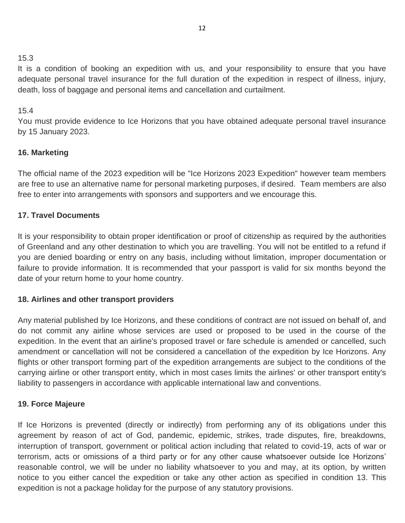It is a condition of booking an expedition with us, and your responsibility to ensure that you have adequate personal travel insurance for the full duration of the expedition in respect of illness, injury, death, loss of baggage and personal items and cancellation and curtailment.

## 15.4

You must provide evidence to Ice Horizons that you have obtained adequate personal travel insurance by 15 January 2023.

# **16. Marketing**

The official name of the 2023 expedition will be "Ice Horizons 2023 Expedition" however team members are free to use an alternative name for personal marketing purposes, if desired. Team members are also free to enter into arrangements with sponsors and supporters and we encourage this.

# **17. Travel Documents**

It is your responsibility to obtain proper identification or proof of citizenship as required by the authorities of Greenland and any other destination to which you are travelling. You will not be entitled to a refund if you are denied boarding or entry on any basis, including without limitation, improper documentation or failure to provide information. It is recommended that your passport is valid for six months beyond the date of your return home to your home country.

## **18. Airlines and other transport providers**

Any material published by Ice Horizons, and these conditions of contract are not issued on behalf of, and do not commit any airline whose services are used or proposed to be used in the course of the expedition. In the event that an airline's proposed travel or fare schedule is amended or cancelled, such amendment or cancellation will not be considered a cancellation of the expedition by Ice Horizons. Any flights or other transport forming part of the expedition arrangements are subject to the conditions of the carrying airline or other transport entity, which in most cases limits the airlines' or other transport entity's liability to passengers in accordance with applicable international law and conventions.

## **19. Force Majeure**

If Ice Horizons is prevented (directly or indirectly) from performing any of its obligations under this agreement by reason of act of God, pandemic, epidemic, strikes, trade disputes, fire, breakdowns, interruption of transport, government or political action including that related to covid-19, acts of war or terrorism, acts or omissions of a third party or for any other cause whatsoever outside Ice Horizons' reasonable control, we will be under no liability whatsoever to you and may, at its option, by written notice to you either cancel the expedition or take any other action as specified in condition 13. This expedition is not a package holiday for the purpose of any statutory provisions.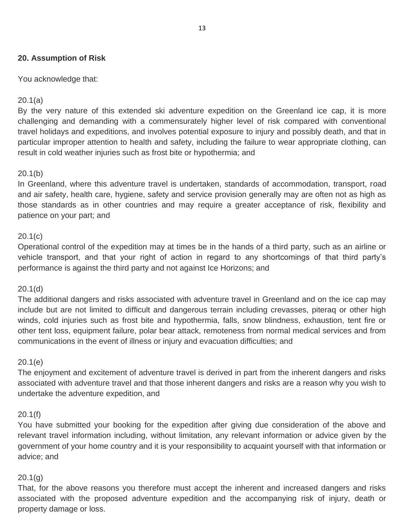### **20. Assumption of Risk**

You acknowledge that:

#### 20.1(a)

By the very nature of this extended ski adventure expedition on the Greenland ice cap, it is more challenging and demanding with a commensurately higher level of risk compared with conventional travel holidays and expeditions, and involves potential exposure to injury and possibly death, and that in particular improper attention to health and safety, including the failure to wear appropriate clothing, can result in cold weather injuries such as frost bite or hypothermia; and

### 20.1(b)

In Greenland, where this adventure travel is undertaken, standards of accommodation, transport, road and air safety, health care, hygiene, safety and service provision generally may are often not as high as those standards as in other countries and may require a greater acceptance of risk, flexibility and patience on your part; and

### 20.1(c)

Operational control of the expedition may at times be in the hands of a third party, such as an airline or vehicle transport, and that your right of action in regard to any shortcomings of that third party's performance is against the third party and not against Ice Horizons; and

## 20.1(d)

The additional dangers and risks associated with adventure travel in Greenland and on the ice cap may include but are not limited to difficult and dangerous terrain including crevasses, piteraq or other high winds, cold injuries such as frost bite and hypothermia, falls, snow blindness, exhaustion, tent fire or other tent loss, equipment failure, polar bear attack, remoteness from normal medical services and from communications in the event of illness or injury and evacuation difficulties; and

#### 20.1(e)

The enjoyment and excitement of adventure travel is derived in part from the inherent dangers and risks associated with adventure travel and that those inherent dangers and risks are a reason why you wish to undertake the adventure expedition, and

#### 20.1(f)

You have submitted your booking for the expedition after giving due consideration of the above and relevant travel information including, without limitation, any relevant information or advice given by the government of your home country and it is your responsibility to acquaint yourself with that information or advice; and

### 20.1(g)

That, for the above reasons you therefore must accept the inherent and increased dangers and risks associated with the proposed adventure expedition and the accompanying risk of injury, death or property damage or loss.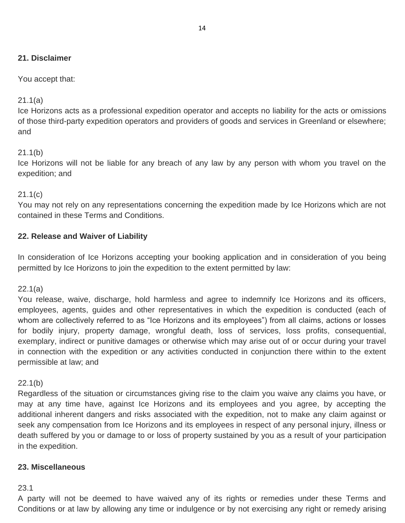## **21. Disclaimer**

### You accept that:

### 21.1(a)

Ice Horizons acts as a professional expedition operator and accepts no liability for the acts or omissions of those third-party expedition operators and providers of goods and services in Greenland or elsewhere; and

#### 21.1(b)

Ice Horizons will not be liable for any breach of any law by any person with whom you travel on the expedition; and

#### 21.1(c)

You may not rely on any representations concerning the expedition made by Ice Horizons which are not contained in these Terms and Conditions.

## **22. Release and Waiver of Liability**

In consideration of Ice Horizons accepting your booking application and in consideration of you being permitted by Ice Horizons to join the expedition to the extent permitted by law:

#### 22.1(a)

You release, waive, discharge, hold harmless and agree to indemnify Ice Horizons and its officers, employees, agents, guides and other representatives in which the expedition is conducted (each of whom are collectively referred to as "Ice Horizons and its employees") from all claims, actions or losses for bodily injury, property damage, wrongful death, loss of services, loss profits, consequential, exemplary, indirect or punitive damages or otherwise which may arise out of or occur during your travel in connection with the expedition or any activities conducted in conjunction there within to the extent permissible at law; and

#### 22.1(b)

Regardless of the situation or circumstances giving rise to the claim you waive any claims you have, or may at any time have, against Ice Horizons and its employees and you agree, by accepting the additional inherent dangers and risks associated with the expedition, not to make any claim against or seek any compensation from Ice Horizons and its employees in respect of any personal injury, illness or death suffered by you or damage to or loss of property sustained by you as a result of your participation in the expedition.

#### **23. Miscellaneous**

#### 23.1

A party will not be deemed to have waived any of its rights or remedies under these Terms and Conditions or at law by allowing any time or indulgence or by not exercising any right or remedy arising